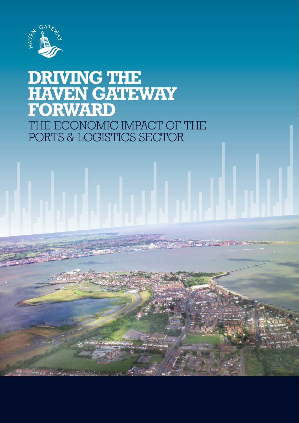

# **DRIVING THE HAVEN GATEWAY FORWARD** THE ECONOMIC IMPACT OF THE PORTS & LOGISTICS SECTOR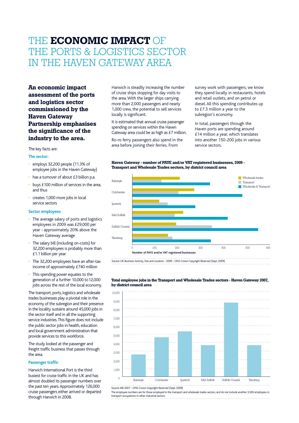### THE **ECONOMIC IMPACT** OF THE PORTS & LOGISTICS SECTOR IN THE HAVEN GATEWAY AREA

**An economic impact assessment of the ports and logistics sector commissioned by the Haven Gateway Partnership emphasises the significance of the industry to the area.**

#### The key facts are:

#### **The sector:**

- employs 32,200 people (11.3% of employee jobs in the Haven Gateway)
- has a turnover of about £3 billion p.a.
- buys £100 million of services in the area. and thus
- creates 1,000 more jobs in local service sectors

#### **Sector employees**

- The average salary of ports and logistics employees in 2009 was £29,000 per year - approximately 20% above the Haven Gateway average
- The salary bill (including on-costs) for 32,200 employees is probably more than £1.1 billion per year
- The 32,200 employees have an after-tax income of approximately £740 million
- This spending power equates to the generation of a further 10,000 to 12,000 jobs across the rest of the local economy.

The transport, ports, logistics and wholesale trades businesses play a pivotal role in the economy of the subregion and their presence in the locality sustains around 45,000 jobs in the sector itself and in all the supporting service industries. This figure does not include the public sector jobs in health, education and local government administration that provide services to this workforce.

The study looked at the passenger and freight traffic business that passes through the area.

#### **Passenger traffic**

Harwich International Port is the third busiest for cruise traffic in the UK and has almost doubled its passenger numbers over the past ten years. Approximately 126,000 cruise passengers either arrived or departed through Harwich in 2008.

Harwich is steadily increasing the number of cruise ships stopping for day visits to the area. With the larger ships carrying more than 2,000 passengers and nearly 1,000 crew, the potential to sell services locally is significant.

It is estimated that annual cruise passenger spending on services within the Haven Gateway area could be as high as £7 million.

Ro-ro ferry passengers also spend in the area before joining their ferries. From

survey work with passengers, we know they spend locally in restaurants, hotels and retail outlets, and on petrol or diesel. All this spending contributes up to £7.3 million a year to the subregion's economy.

In total, passengers through the Haven ports are spending around £14 million a year, which translates into another 150-200 jobs in various service sectors.





Source: UK Business: Activity, Size and Location - 2009 - ONS Crown Copyright Reserved (Sept. 2009)



**Total employee jobs in the Transport and Wholesale Trades sectors - Haven Gateway 2007, by district council area**

Source: ABI 2007 - ONS Crown Copyright Reserved (Sept. 2009)

The employee numbers are for those employed in the transport and wholesale trades sectors, and do not include another 3,500 employees in transport occupations in other industrial sectors.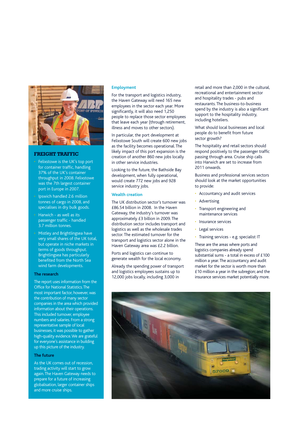

#### **FREIGHT TRAFFIC**

- Felixstowe is the UK's top port for container traffic, handling 37% of the UK's container throughput in 2008. Felixstowe was the 7th largest container port in Europe in 2007.
- Ipswich handled 2.6 million tonnes of cargo in 2008, and specialises in dry bulk goods.
- Harwich as well as its passenger traffic - handled 3.7 million tonnes.
- Mistley and Brightlingsea have very small shares of the UK total, but operate in niche markets in terms of goods throughput. Brightlingsea has particularly benefited from the North Sea wind farm developments.

#### **The research**

The report uses information from the Office for National Statistics. The most important factor, however, was the contribution of many sector companies in the area which provided information about their operations. This included turnover, employee numbers and salaries. From a strong representative sample of local businesses, it was possible to gather high-quality evidence. We are grateful for everyone's assistance in building up this picture of the industry.

#### **The future**

As the UK comes out of recession, trading activity will start to grow again. The Haven Gateway needs to prepare for a future of increasing globalisation, larger container ships and more cruise ships.

#### **Employment**

For the transport and logistics industry, the Haven Gateway will need 165 new employees in the sector each year. More significantly, it will also need 1,250 people to replace those sector employees that leave each year (through retirement, illness and moves to other sectors).

In particular, the port development at Felixstowe South will create 600 new jobs as the facility becomes operational. The likely impact of this port expansion is the creation of another 860 new jobs locally in other service industries.

Looking to the future, the Bathside Bay development, when fully operational, would create 772 new jobs and 928 service industry jobs.

#### **Wealth creation**

The UK distribution sector's turnover was £86.54 billion in 2008. In the Haven Gateway, the industry's turnover was approximately £3 billion in 2009. The distribution sector includes transport and logistics as well as the wholesale trades sector. The estimated turnover for the transport and logistics sector alone in the Haven Gateway area was £2.2 billion.

Ports and logistics can continue to generate wealth for the local economy.

Already the spending power of transport and logistics employees sustains up to 12,000 jobs locally, including 3,000 in

retail and more than 2,000 in the cultural, recreational and entertainment sector and hospitality trades - pubs and restaurants. The business-to-business spend by the industry is also a significant support to the hospitality industry, including hoteliers.

What should local businesses and local people do to benefit from future sector growth?

The hospitality and retail sectors should respond positively to the passenger traffic passing through area. Cruise ship calls into Harwich are set to increase from 2011 onwards.

Business and professional services sectors should look at the market opportunities to provide:

- Accountancy and audit services
- Advertising
- Transport engineering and maintenance services
- Insurance services
- Legal services
- Training services e.g. specialist IT

These are the areas where ports and logistics companies already spend substantial sums - a total in excess of £100 million a year. The accountancy and audit market for the sector is worth more than £10 million a year in the subregion; and the insurance services market potentially more.